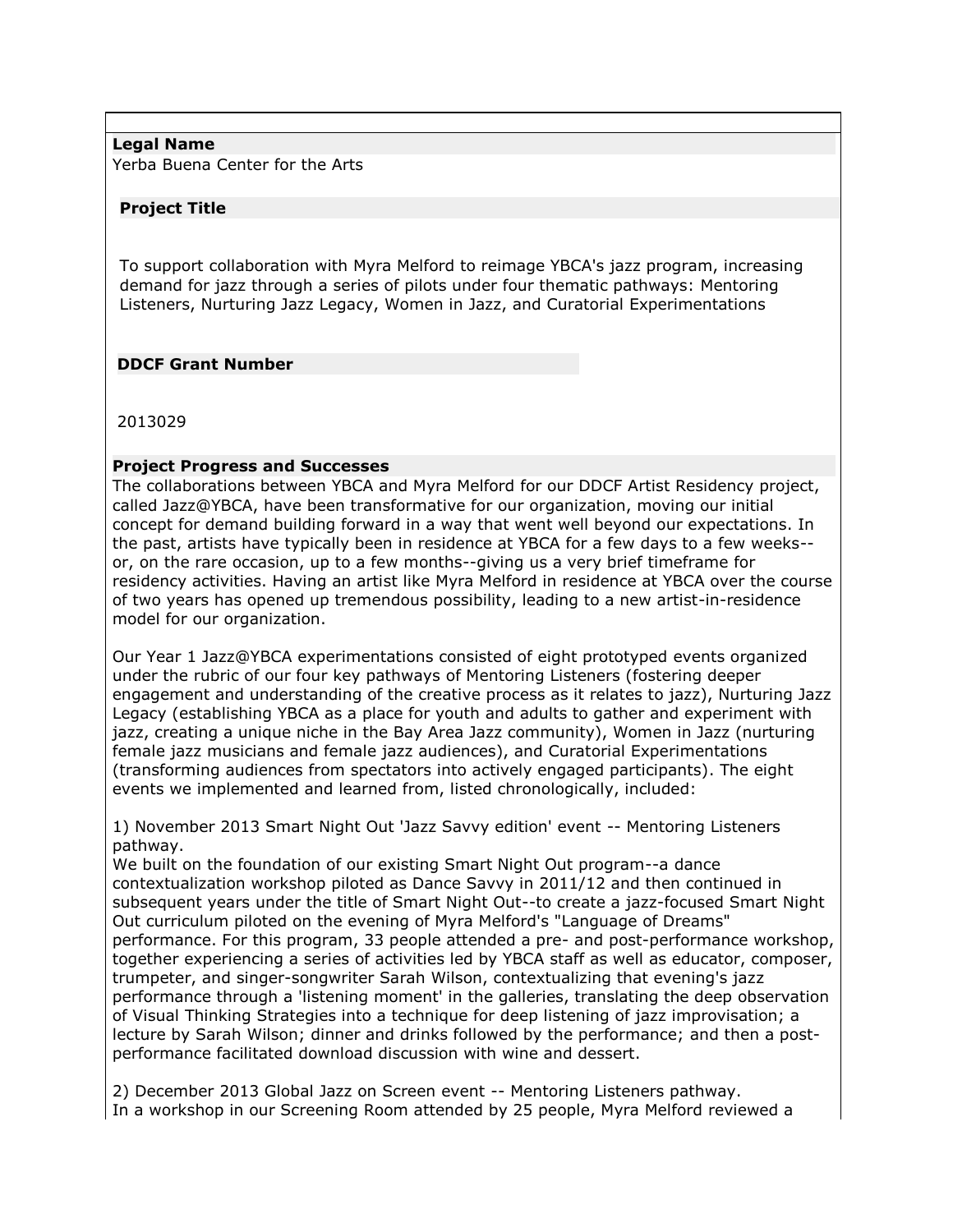## **Legal Name**

Yerba Buena Center for the Arts

## **Project Title**

To support collaboration with Myra Melford to reimage YBCA's jazz program, increasing demand for jazz through a series of pilots under four thematic pathways: Mentoring Listeners, Nurturing Jazz Legacy, Women in Jazz, and Curatorial Experimentations

# **DDCF Grant Number**

2013029

# **Project Progress and Successes**

The collaborations between YBCA and Myra Melford for our DDCF Artist Residency project, called Jazz@YBCA, have been transformative for our organization, moving our initial concept for demand building forward in a way that went well beyond our expectations. In the past, artists have typically been in residence at YBCA for a few days to a few weeks- or, on the rare occasion, up to a few months--giving us a very brief timeframe for residency activities. Having an artist like Myra Melford in residence at YBCA over the course of two years has opened up tremendous possibility, leading to a new artist-in-residence model for our organization.

Our Year 1 Jazz@YBCA experimentations consisted of eight prototyped events organized under the rubric of our four key pathways of Mentoring Listeners (fostering deeper engagement and understanding of the creative process as it relates to jazz), Nurturing Jazz Legacy (establishing YBCA as a place for youth and adults to gather and experiment with jazz, creating a unique niche in the Bay Area Jazz community), Women in Jazz (nurturing female jazz musicians and female jazz audiences), and Curatorial Experimentations (transforming audiences from spectators into actively engaged participants). The eight events we implemented and learned from, listed chronologically, included:

1) November 2013 Smart Night Out 'Jazz Savvy edition' event -- Mentoring Listeners pathway.

We built on the foundation of our existing Smart Night Out program--a dance contextualization workshop piloted as Dance Savvy in 2011/12 and then continued in subsequent years under the title of Smart Night Out--to create a jazz-focused Smart Night Out curriculum piloted on the evening of Myra Melford's "Language of Dreams" performance. For this program, 33 people attended a pre- and post-performance workshop, together experiencing a series of activities led by YBCA staff as well as educator, composer, trumpeter, and singer-songwriter Sarah Wilson, contextualizing that evening's jazz performance through a 'listening moment' in the galleries, translating the deep observation of Visual Thinking Strategies into a technique for deep listening of jazz improvisation; a lecture by Sarah Wilson; dinner and drinks followed by the performance; and then a postperformance facilitated download discussion with wine and dessert.

2) December 2013 Global Jazz on Screen event -- Mentoring Listeners pathway. In a workshop in our Screening Room attended by 25 people, Myra Melford reviewed a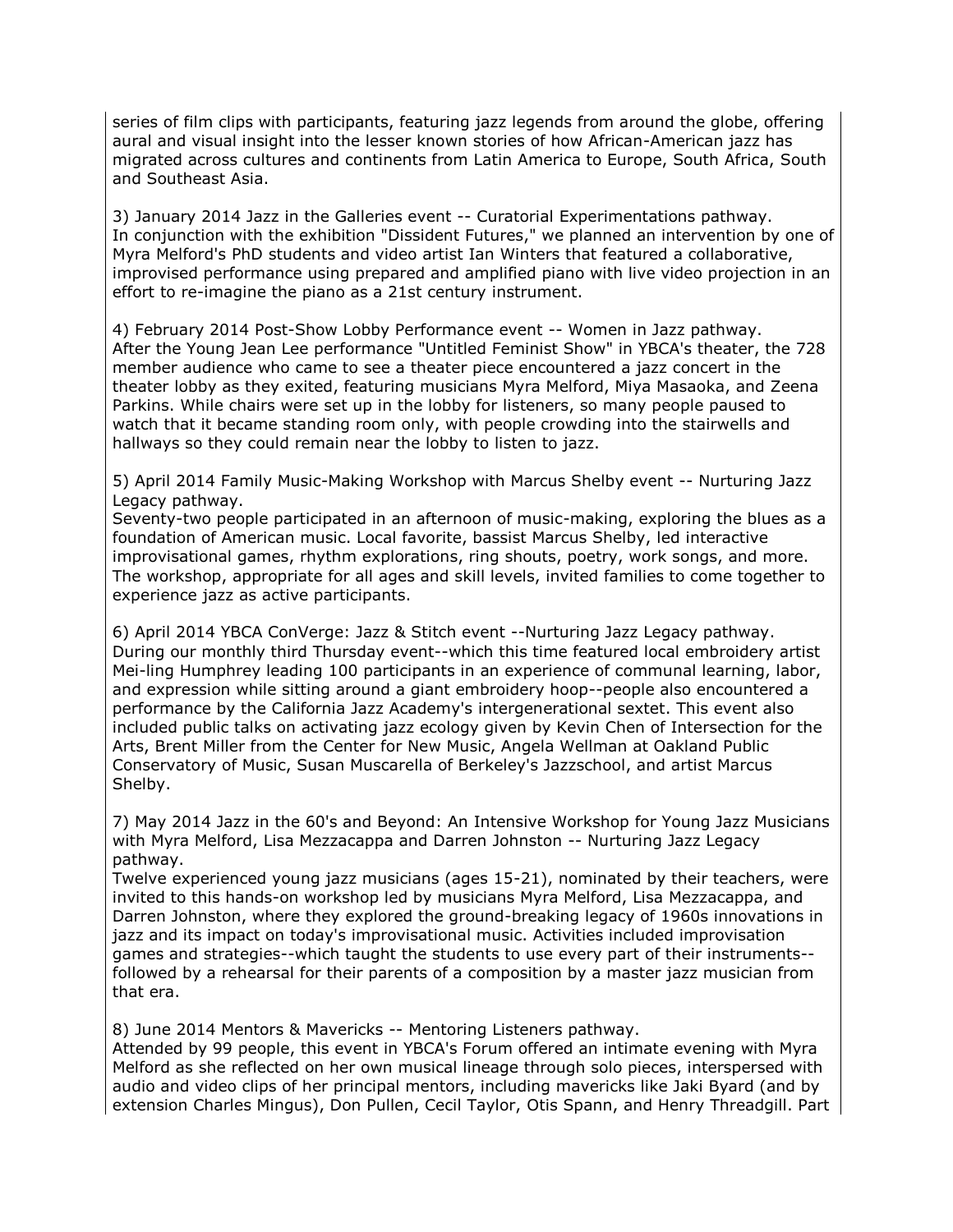series of film clips with participants, featuring jazz legends from around the globe, offering aural and visual insight into the lesser known stories of how African-American jazz has migrated across cultures and continents from Latin America to Europe, South Africa, South and Southeast Asia.

3) January 2014 Jazz in the Galleries event -- Curatorial Experimentations pathway. In conjunction with the exhibition "Dissident Futures," we planned an intervention by one of Myra Melford's PhD students and video artist Ian Winters that featured a collaborative, improvised performance using prepared and amplified piano with live video projection in an effort to re-imagine the piano as a 21st century instrument.

4) February 2014 Post-Show Lobby Performance event -- Women in Jazz pathway. After the Young Jean Lee performance "Untitled Feminist Show" in YBCA's theater, the 728 member audience who came to see a theater piece encountered a jazz concert in the theater lobby as they exited, featuring musicians Myra Melford, Miya Masaoka, and Zeena Parkins. While chairs were set up in the lobby for listeners, so many people paused to watch that it became standing room only, with people crowding into the stairwells and hallways so they could remain near the lobby to listen to jazz.

5) April 2014 Family Music-Making Workshop with Marcus Shelby event -- Nurturing Jazz Legacy pathway.

Seventy-two people participated in an afternoon of music-making, exploring the blues as a foundation of American music. Local favorite, bassist Marcus Shelby, led interactive improvisational games, rhythm explorations, ring shouts, poetry, work songs, and more. The workshop, appropriate for all ages and skill levels, invited families to come together to experience jazz as active participants.

6) April 2014 YBCA ConVerge: Jazz & Stitch event --Nurturing Jazz Legacy pathway. During our monthly third Thursday event--which this time featured local embroidery artist Mei-ling Humphrey leading 100 participants in an experience of communal learning, labor, and expression while sitting around a giant embroidery hoop--people also encountered a performance by the California Jazz Academy's intergenerational sextet. This event also included public talks on activating jazz ecology given by Kevin Chen of Intersection for the Arts, Brent Miller from the Center for New Music, Angela Wellman at Oakland Public Conservatory of Music, Susan Muscarella of Berkeley's Jazzschool, and artist Marcus Shelby.

7) May 2014 Jazz in the 60's and Beyond: An Intensive Workshop for Young Jazz Musicians with Myra Melford, Lisa Mezzacappa and Darren Johnston -- Nurturing Jazz Legacy pathway.

Twelve experienced young jazz musicians (ages 15-21), nominated by their teachers, were invited to this hands-on workshop led by musicians Myra Melford, Lisa Mezzacappa, and Darren Johnston, where they explored the ground-breaking legacy of 1960s innovations in jazz and its impact on today's improvisational music. Activities included improvisation games and strategies--which taught the students to use every part of their instruments- followed by a rehearsal for their parents of a composition by a master jazz musician from that era.

8) June 2014 Mentors & Mavericks -- Mentoring Listeners pathway.

Attended by 99 people, this event in YBCA's Forum offered an intimate evening with Myra Melford as she reflected on her own musical lineage through solo pieces, interspersed with audio and video clips of her principal mentors, including mavericks like Jaki Byard (and by extension Charles Mingus), Don Pullen, Cecil Taylor, Otis Spann, and Henry Threadgill. Part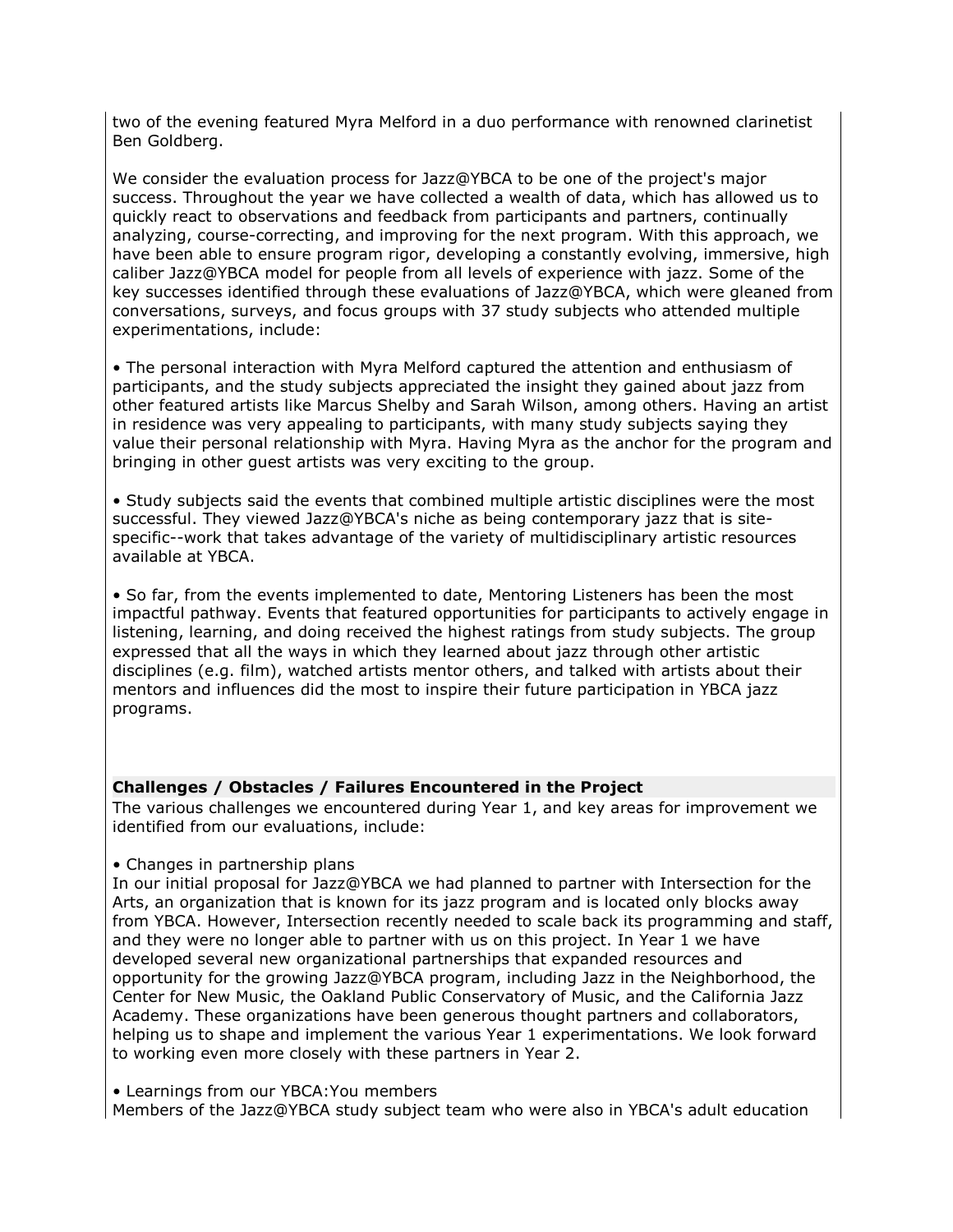two of the evening featured Myra Melford in a duo performance with renowned clarinetist Ben Goldberg.

We consider the evaluation process for Jazz@YBCA to be one of the project's major success. Throughout the year we have collected a wealth of data, which has allowed us to quickly react to observations and feedback from participants and partners, continually analyzing, course-correcting, and improving for the next program. With this approach, we have been able to ensure program rigor, developing a constantly evolving, immersive, high caliber Jazz@YBCA model for people from all levels of experience with jazz. Some of the key successes identified through these evaluations of Jazz@YBCA, which were gleaned from conversations, surveys, and focus groups with 37 study subjects who attended multiple experimentations, include:

• The personal interaction with Myra Melford captured the attention and enthusiasm of participants, and the study subjects appreciated the insight they gained about jazz from other featured artists like Marcus Shelby and Sarah Wilson, among others. Having an artist in residence was very appealing to participants, with many study subjects saying they value their personal relationship with Myra. Having Myra as the anchor for the program and bringing in other guest artists was very exciting to the group.

• Study subjects said the events that combined multiple artistic disciplines were the most successful. They viewed Jazz@YBCA's niche as being contemporary jazz that is sitespecific--work that takes advantage of the variety of multidisciplinary artistic resources available at YBCA.

• So far, from the events implemented to date, Mentoring Listeners has been the most impactful pathway. Events that featured opportunities for participants to actively engage in listening, learning, and doing received the highest ratings from study subjects. The group expressed that all the ways in which they learned about jazz through other artistic disciplines (e.g. film), watched artists mentor others, and talked with artists about their mentors and influences did the most to inspire their future participation in YBCA jazz programs.

## **Challenges / Obstacles / Failures Encountered in the Project**

The various challenges we encountered during Year 1, and key areas for improvement we identified from our evaluations, include:

#### • Changes in partnership plans

In our initial proposal for Jazz@YBCA we had planned to partner with Intersection for the Arts, an organization that is known for its jazz program and is located only blocks away from YBCA. However, Intersection recently needed to scale back its programming and staff, and they were no longer able to partner with us on this project. In Year 1 we have developed several new organizational partnerships that expanded resources and opportunity for the growing Jazz@YBCA program, including Jazz in the Neighborhood, the Center for New Music, the Oakland Public Conservatory of Music, and the California Jazz Academy. These organizations have been generous thought partners and collaborators, helping us to shape and implement the various Year 1 experimentations. We look forward to working even more closely with these partners in Year 2.

• Learnings from our YBCA:You members

Members of the Jazz@YBCA study subject team who were also in YBCA's adult education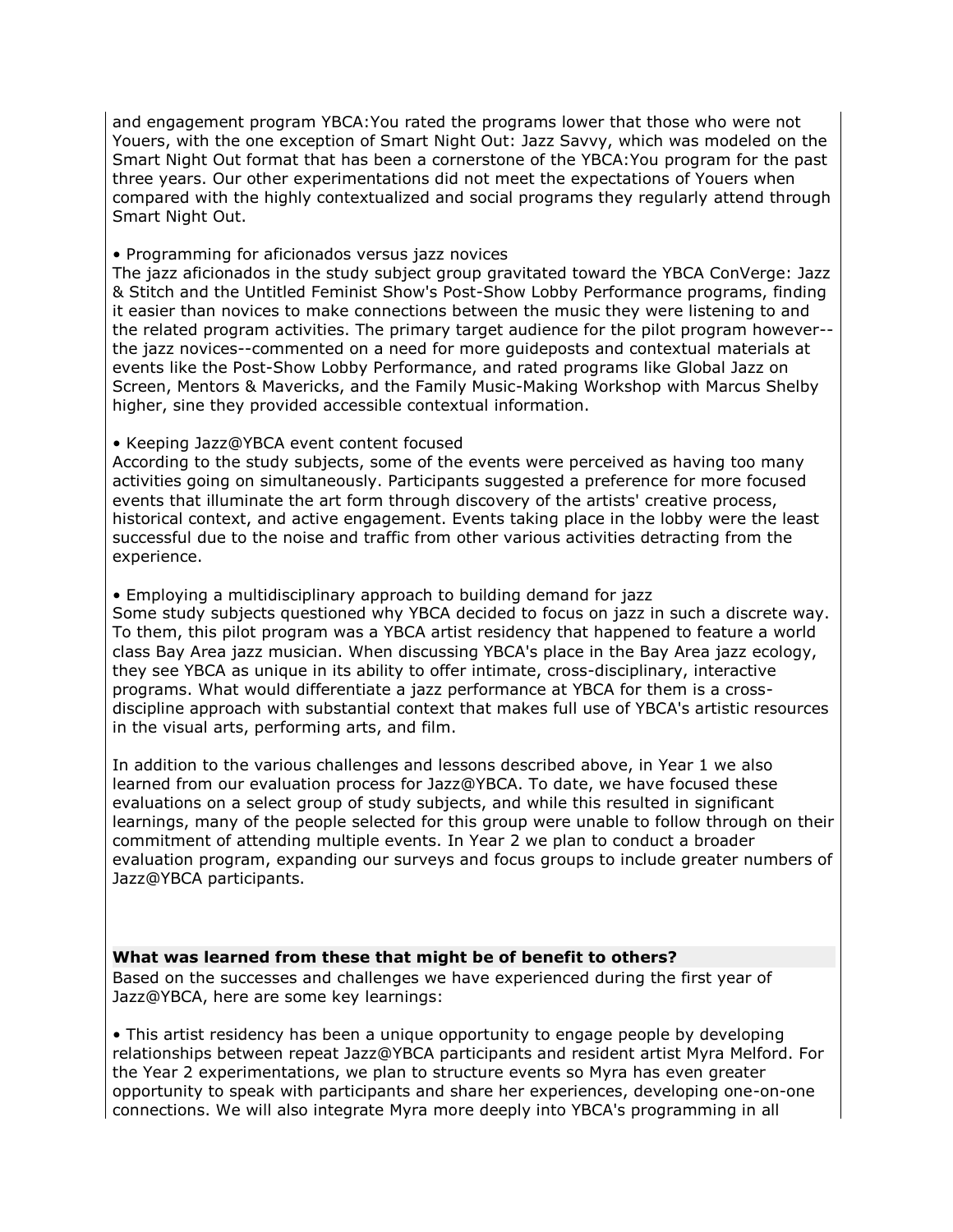and engagement program YBCA:You rated the programs lower that those who were not Youers, with the one exception of Smart Night Out: Jazz Savvy, which was modeled on the Smart Night Out format that has been a cornerstone of the YBCA:You program for the past three years. Our other experimentations did not meet the expectations of Youers when compared with the highly contextualized and social programs they regularly attend through Smart Night Out.

• Programming for aficionados versus jazz novices

The jazz aficionados in the study subject group gravitated toward the YBCA ConVerge: Jazz & Stitch and the Untitled Feminist Show's Post-Show Lobby Performance programs, finding it easier than novices to make connections between the music they were listening to and the related program activities. The primary target audience for the pilot program however- the jazz novices--commented on a need for more guideposts and contextual materials at events like the Post-Show Lobby Performance, and rated programs like Global Jazz on Screen, Mentors & Mavericks, and the Family Music-Making Workshop with Marcus Shelby higher, sine they provided accessible contextual information.

## • Keeping Jazz@YBCA event content focused

According to the study subjects, some of the events were perceived as having too many activities going on simultaneously. Participants suggested a preference for more focused events that illuminate the art form through discovery of the artists' creative process, historical context, and active engagement. Events taking place in the lobby were the least successful due to the noise and traffic from other various activities detracting from the experience.

• Employing a multidisciplinary approach to building demand for jazz

Some study subjects questioned why YBCA decided to focus on jazz in such a discrete way. To them, this pilot program was a YBCA artist residency that happened to feature a world class Bay Area jazz musician. When discussing YBCA's place in the Bay Area jazz ecology, they see YBCA as unique in its ability to offer intimate, cross-disciplinary, interactive programs. What would differentiate a jazz performance at YBCA for them is a crossdiscipline approach with substantial context that makes full use of YBCA's artistic resources in the visual arts, performing arts, and film.

In addition to the various challenges and lessons described above, in Year 1 we also learned from our evaluation process for Jazz@YBCA. To date, we have focused these evaluations on a select group of study subjects, and while this resulted in significant learnings, many of the people selected for this group were unable to follow through on their commitment of attending multiple events. In Year 2 we plan to conduct a broader evaluation program, expanding our surveys and focus groups to include greater numbers of Jazz@YBCA participants.

## **What was learned from these that might be of benefit to others?**

Based on the successes and challenges we have experienced during the first year of Jazz@YBCA, here are some key learnings:

• This artist residency has been a unique opportunity to engage people by developing relationships between repeat Jazz@YBCA participants and resident artist Myra Melford. For the Year 2 experimentations, we plan to structure events so Myra has even greater opportunity to speak with participants and share her experiences, developing one-on-one connections. We will also integrate Myra more deeply into YBCA's programming in all